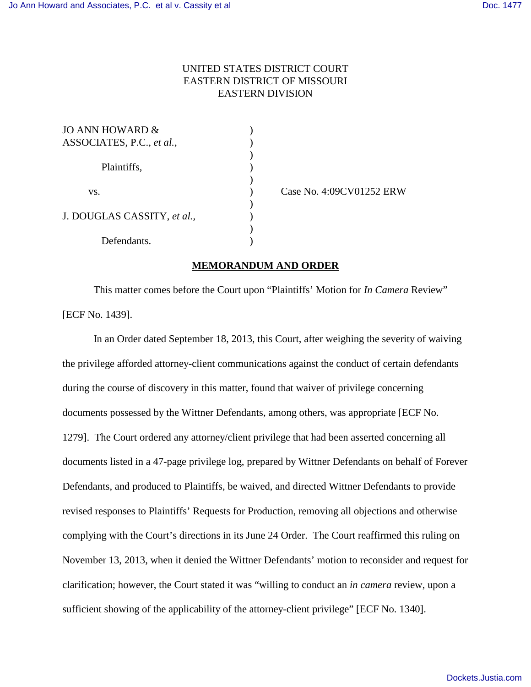## UNITED STATES DISTRICT COURT EASTERN DISTRICT OF MISSOURI EASTERN DIVISION

| JO ANN HOWARD &             |  |
|-----------------------------|--|
| ASSOCIATES, P.C., et al.,   |  |
|                             |  |
| Plaintiffs,                 |  |
|                             |  |
| VS.                         |  |
|                             |  |
| J. DOUGLAS CASSITY, et al., |  |
|                             |  |
| Defendants.                 |  |

Case No. 4:09CV01252 ERW

## **MEMORANDUM AND ORDER**

This matter comes before the Court upon "Plaintiffs' Motion for *In Camera* Review" [ECF No. 1439].

In an Order dated September 18, 2013, this Court, after weighing the severity of waiving the privilege afforded attorney-client communications against the conduct of certain defendants during the course of discovery in this matter, found that waiver of privilege concerning documents possessed by the Wittner Defendants, among others, was appropriate [ECF No. 1279]. The Court ordered any attorney/client privilege that had been asserted concerning all documents listed in a 47-page privilege log, prepared by Wittner Defendants on behalf of Forever Defendants, and produced to Plaintiffs, be waived, and directed Wittner Defendants to provide revised responses to Plaintiffs' Requests for Production, removing all objections and otherwise complying with the Court's directions in its June 24 Order. The Court reaffirmed this ruling on November 13, 2013, when it denied the Wittner Defendants' motion to reconsider and request for clarification; however, the Court stated it was "willing to conduct an *in camera* review, upon a sufficient showing of the applicability of the attorney-client privilege" [ECF No. 1340].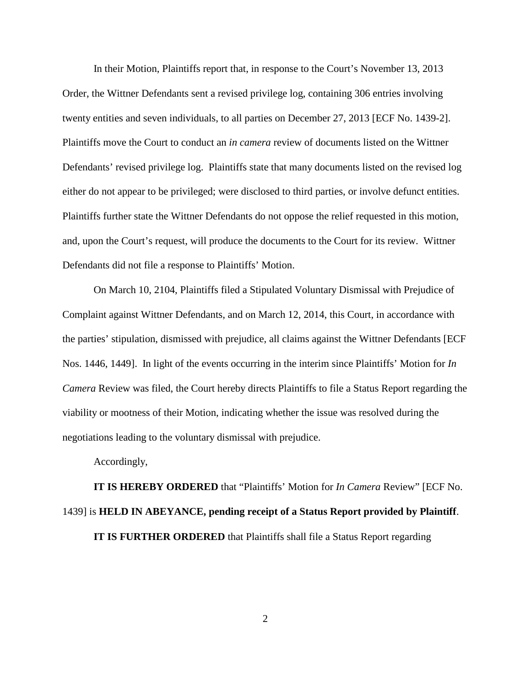In their Motion, Plaintiffs report that, in response to the Court's November 13, 2013 Order, the Wittner Defendants sent a revised privilege log, containing 306 entries involving twenty entities and seven individuals, to all parties on December 27, 2013 [ECF No. 1439-2]. Plaintiffs move the Court to conduct an *in camera* review of documents listed on the Wittner Defendants' revised privilege log. Plaintiffs state that many documents listed on the revised log either do not appear to be privileged; were disclosed to third parties, or involve defunct entities. Plaintiffs further state the Wittner Defendants do not oppose the relief requested in this motion, and, upon the Court's request, will produce the documents to the Court for its review. Wittner Defendants did not file a response to Plaintiffs' Motion.

On March 10, 2104, Plaintiffs filed a Stipulated Voluntary Dismissal with Prejudice of Complaint against Wittner Defendants, and on March 12, 2014, this Court, in accordance with the parties' stipulation, dismissed with prejudice, all claims against the Wittner Defendants [ECF Nos. 1446, 1449]. In light of the events occurring in the interim since Plaintiffs' Motion for *In Camera* Review was filed, the Court hereby directs Plaintiffs to file a Status Report regarding the viability or mootness of their Motion, indicating whether the issue was resolved during the negotiations leading to the voluntary dismissal with prejudice.

Accordingly,

**IT IS HEREBY ORDERED** that "Plaintiffs' Motion for *In Camera* Review" [ECF No. 1439] is **HELD IN ABEYANCE, pending receipt of a Status Report provided by Plaintiff**. **IT IS FURTHER ORDERED** that Plaintiffs shall file a Status Report regarding

2